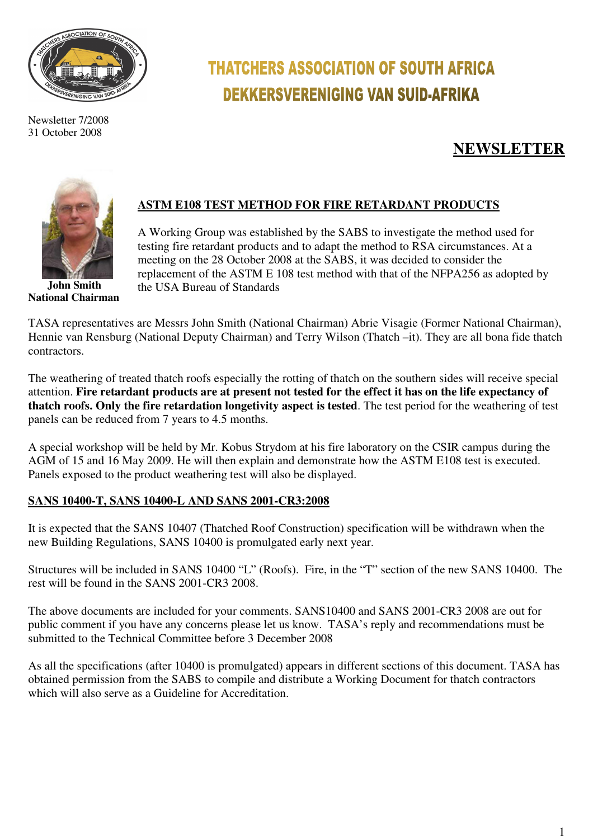

Newsletter 7/2008 31 October 2008

# **THATCHERS ASSOCIATION OF SOUTH AFRICA DEKKERSVERENIGING VAN SUID-AFRIKA**

# **NEWSLETTER**



 **John Smith National Chairman** 

# **ASTM E108 TEST METHOD FOR FIRE RETARDANT PRODUCTS**

A Working Group was established by the SABS to investigate the method used for testing fire retardant products and to adapt the method to RSA circumstances. At a meeting on the 28 October 2008 at the SABS, it was decided to consider the replacement of the ASTM E 108 test method with that of the NFPA256 as adopted by the USA Bureau of Standards

TASA representatives are Messrs John Smith (National Chairman) Abrie Visagie (Former National Chairman), Hennie van Rensburg (National Deputy Chairman) and Terry Wilson (Thatch –it). They are all bona fide thatch contractors.

The weathering of treated thatch roofs especially the rotting of thatch on the southern sides will receive special attention. **Fire retardant products are at present not tested for the effect it has on the life expectancy of thatch roofs. Only the fire retardation longetivity aspect is tested**. The test period for the weathering of test panels can be reduced from 7 years to 4.5 months.

A special workshop will be held by Mr. Kobus Strydom at his fire laboratory on the CSIR campus during the AGM of 15 and 16 May 2009. He will then explain and demonstrate how the ASTM E108 test is executed. Panels exposed to the product weathering test will also be displayed.

#### **SANS 10400-T, SANS 10400-L AND SANS 2001-CR3:2008**

It is expected that the SANS 10407 (Thatched Roof Construction) specification will be withdrawn when the new Building Regulations, SANS 10400 is promulgated early next year.

Structures will be included in SANS 10400 "L" (Roofs). Fire, in the "T" section of the new SANS 10400. The rest will be found in the SANS 2001-CR3 2008.

The above documents are included for your comments. SANS10400 and SANS 2001-CR3 2008 are out for public comment if you have any concerns please let us know. TASA's reply and recommendations must be submitted to the Technical Committee before 3 December 2008

As all the specifications (after 10400 is promulgated) appears in different sections of this document. TASA has obtained permission from the SABS to compile and distribute a Working Document for thatch contractors which will also serve as a Guideline for Accreditation.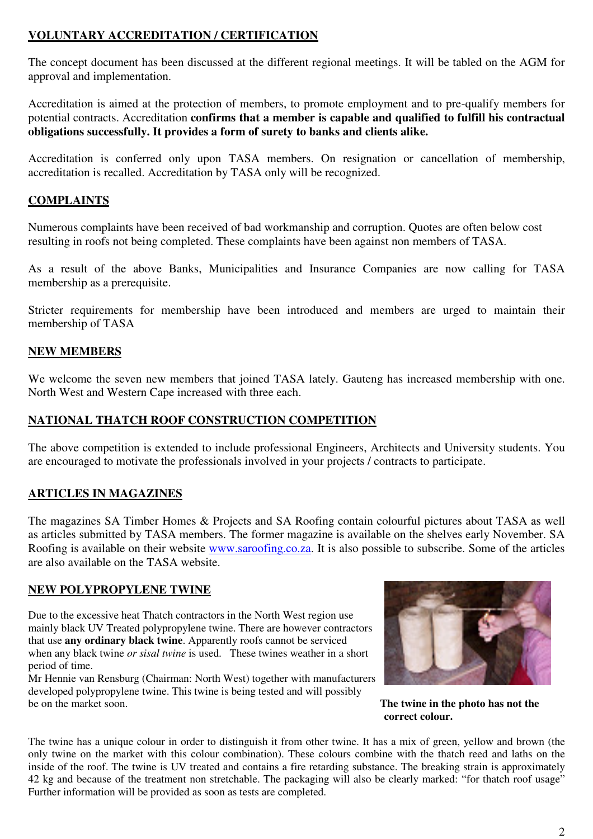## **VOLUNTARY ACCREDITATION / CERTIFICATION**

The concept document has been discussed at the different regional meetings. It will be tabled on the AGM for approval and implementation.

Accreditation is aimed at the protection of members, to promote employment and to pre-qualify members for potential contracts. Accreditation **confirms that a member is capable and qualified to fulfill his contractual obligations successfully. It provides a form of surety to banks and clients alike.** 

Accreditation is conferred only upon TASA members. On resignation or cancellation of membership, accreditation is recalled. Accreditation by TASA only will be recognized.

# **COMPLAINTS**

Numerous complaints have been received of bad workmanship and corruption. Quotes are often below cost resulting in roofs not being completed. These complaints have been against non members of TASA.

As a result of the above Banks, Municipalities and Insurance Companies are now calling for TASA membership as a prerequisite.

Stricter requirements for membership have been introduced and members are urged to maintain their membership of TASA

#### **NEW MEMBERS**

We welcome the seven new members that joined TASA lately. Gauteng has increased membership with one. North West and Western Cape increased with three each.

#### **NATIONAL THATCH ROOF CONSTRUCTION COMPETITION**

The above competition is extended to include professional Engineers, Architects and University students. You are encouraged to motivate the professionals involved in your projects / contracts to participate.

### **ARTICLES IN MAGAZINES**

The magazines SA Timber Homes & Projects and SA Roofing contain colourful pictures about TASA as well as articles submitted by TASA members. The former magazine is available on the shelves early November. SA Roofing is available on their website www.saroofing.co.za. It is also possible to subscribe. Some of the articles are also available on the TASA website.

#### **NEW POLYPROPYLENE TWINE**

Due to the excessive heat Thatch contractors in the North West region use mainly black UV Treated polypropylene twine. There are however contractors that use **any ordinary black twine**. Apparently roofs cannot be serviced when any black twine *or sisal twine* is used. These twines weather in a short period of time.

Mr Hennie van Rensburg (Chairman: North West) together with manufacturers developed polypropylene twine. This twine is being tested and will possibly be on the market soon.



The twine in the photo has not the  **correct colour.** 

The twine has a unique colour in order to distinguish it from other twine. It has a mix of green, yellow and brown (the only twine on the market with this colour combination). These colours combine with the thatch reed and laths on the inside of the roof. The twine is UV treated and contains a fire retarding substance. The breaking strain is approximately 42 kg and because of the treatment non stretchable. The packaging will also be clearly marked: "for thatch roof usage" Further information will be provided as soon as tests are completed.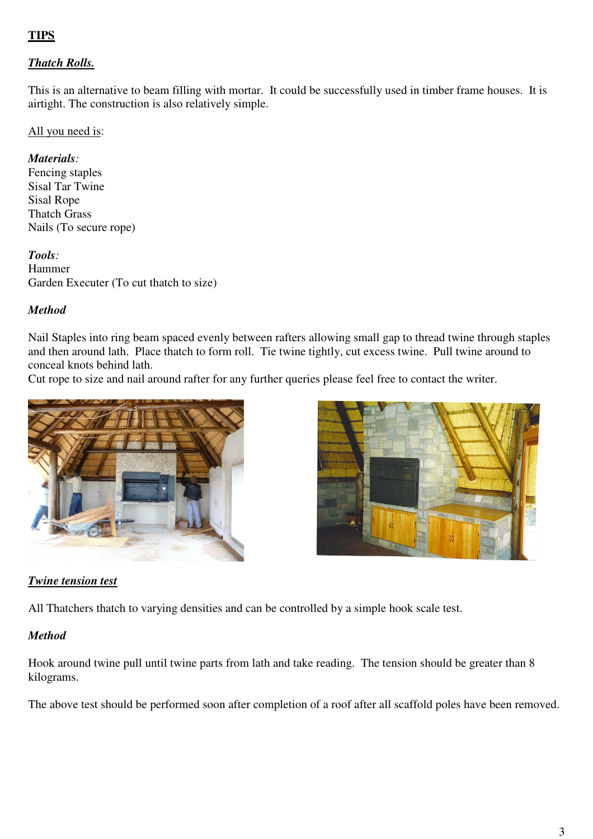# **TIPS**

# *Thatch Rolls.*

This is an alternative to beam filling with mortar. It could be successfully used in timber frame houses. It is airtight. The construction is also relatively simple.

#### All you need is:

#### *Materials:*

Fencing staples Sisal Tar Twine Sisal Rope Thatch Grass Nails (To secure rope)

*Tools:* Hammer Garden Executer (To cut thatch to size)

#### *Method*

Nail Staples into ring beam spaced evenly between rafters allowing small gap to thread twine through staples and then around lath. Place thatch to form roll. Tie twine tightly, cut excess twine. Pull twine around to conceal knots behind lath.

Cut rope to size and nail around rafter for any further queries please feel free to contact the writer.





#### *Twine tension test*

All Thatchers thatch to varying densities and can be controlled by a simple hook scale test.

#### *Method*

Hook around twine pull until twine parts from lath and take reading. The tension should be greater than 8 kilograms.

The above test should be performed soon after completion of a roof after all scaffold poles have been removed.